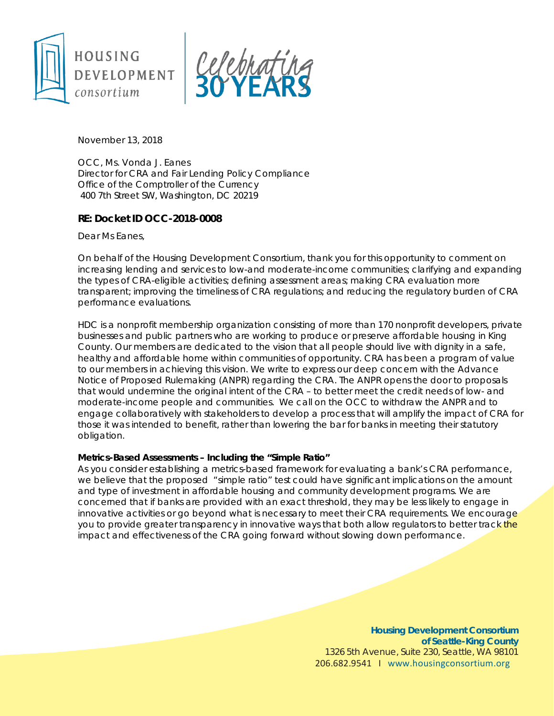



November 13, 2018

OCC, Ms. Vonda J. Eanes Director for CRA and Fair Lending Policy Compliance Office of the Comptroller of the Currency 400 7th Street SW, Washington, DC 20219

## **RE: Docket ID OCC-2018-0008**

Dear Ms Eanes,

On behalf of the Housing Development Consortium, thank you for this opportunity to comment on increasing lending and services to low-and moderate-income communities; clarifying and expanding the types of CRA-eligible activities; defining assessment areas; making CRA evaluation more transparent; improving the timeliness of CRA regulations; and reducing the regulatory burden of CRA performance evaluations.

HDC is a nonprofit membership organization consisting of more than 170 nonprofit developers, private businesses and public partners who are working to produce or preserve affordable housing in King County. Our members are dedicated to the vision that all people should live with dignity in a safe, healthy and affordable home within communities of opportunity. CRA has been a program of value to our members in achieving this vision. We write to express our deep concern with the Advance Notice of Proposed Rulemaking (ANPR) regarding the CRA. The ANPR opens the door to proposals that would undermine the original intent of the CRA – to better meet the credit needs of low- and moderate-income people and communities. We call on the OCC to withdraw the ANPR and to engage collaboratively with stakeholders to develop a process that will amplify the impact of CRA for those it was intended to benefit, rather than lowering the bar for banks in meeting their statutory obligation.

## **Metrics-Based Assessments – Including the "Simple Ratio"**

As you consider establishing a metrics-based framework for evaluating a bank's CRA performance, we believe that the proposed "simple ratio" test could have significant implications on the amount and type of investment in affordable housing and community development programs. We are concerned that if banks are provided with an exact threshold, they may be less likely to engage in innovative activities or go beyond what is necessary to meet their CRA requirements. We encourage you to provide greater transparency in innovative ways that both allow regulators to better track the impact and effectiveness of the CRA going forward without slowing down performance.

> **Housing Development Consortium of Seattle-King County** 1326 5th Avenue, Suite 230, Seattle, WA 98101 206.682.9541 I [www.housingconsortium.org](http://www.housingconsortium.org/)